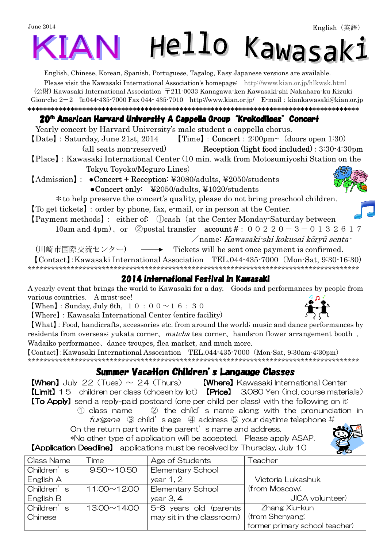## June 2014 Hello Kawasaki IAN

English, Chinese, Korean, Spanish, Portuguese, Tagalog, Easy Japanese versions are available.

Please visit the Kawasaki International Association's homepage: http://www.kian.or.jp/hlkwsk.html (公財) Kawasaki International Association 〒211-0033 Kanagawa-ken Kawasaki-shi Nakahara-ku Kizuki Gion-cho  $2-2$  Eu044-435-7000 Fax 044-435-7010 http://www.kian.or.jp/ E-mail: kiankawasaki@kian.or.jp \*\*\*\*\*\*\*\*\*\*\*\*\*\*\*\*\*\*\*\*\*\*\*\*\*\*\*\*\*\*\*\*\*\*\*\*\*\*\*\*\*\*\*\*\*\*\*\*\*\*\*\*\*\*\*\*\*\*\*\*\*\*\*\*\*\*\*\*\*\*\*\*\*\*\*\*\*\*\*\*\*\*\*\*\*

#### 20<sup>th</sup> American Harvard University A Cappella Group "Krokodiloes" Concert

Yearly concert by Harvard University's male student a cappella chorus. 【Date】:Saturday, June 21st, 2014 【Time】:Concert:2:00pm~(doors open 1:30) (all seats non-reserved) Reception (light food included): 3:30-4:30pm

【Place】:Kawasaki International Center (10 min. walk from Motosumiyoshi Station on the Tokyu Toyoko/Meguro Lines)

【Admission】: ●Concert + Reception: ¥3080/adults, ¥2050/students ●Concert only: ¥2050/adults, ¥1020/students

\*to help preserve the concert's quality, please do not bring preschool children.

【To get tickets】:order by phone, fax, e-mail, or in person at the Center.

【Payment methods】: either of: ①cash(at the Center Monday-Saturday between

10am and 4pm), or ②postal transfer  $account #: 0 0 2 2 0 - 3 - 0 1 3 2 6 1 7$ 

/name: Kawasaki-shi kokusai kōryū senta-

(川崎市国際交流センター) – → Tickets will be sent once payment is confirmed. 【Contact】:Kawasaki International Association TEL.044-435-7000(Mon-Sat, 9:30-16:30)

\*\*\*\*\*\*\*\*\*\*\*\*\*\*\*\*\*\*\*\*\*\*\*\*\*\*\*\*\*\*\*\*\*\*\*\*\*\*\*\*\*\*\*\*\*\*\*\*\*\*\*\*\*\*\*\*\*\*\*\*\*\*\*\*\*\*\*\*\*\*\*\*\*\*\*\*\*\*\*\*\*\*\*\*\*

#### 2014 International Festival in Kawasaki

A yearly event that brings the world to Kawasaki for a day. Goods and performances by people from various countries. A must-see!

**[When]**: Sunday, July 6th,  $10:00 \sim 16:30$ 

【Where】:Kawasaki International Center (entire facility)

【What】:Food, handicrafts, accessories etc. from around the world; music and dance performances by residents from overseas; yukata corner, matcha tea corner, hands-on flower arrangement booth, Wadaiko performance、dance troupes, flea market, and much more.

【Contact】:Kawasaki International Association TEL.044-435-7000(Mon-Sat, 9:30am-4:30pm) \*\*\*\*\*\*\*\*\*\*\*\*\*\*\*\*\*\*\*\*\*\*\*\*\*\*\*\*\*\*\*\*\*\*\*\*\*\*\*\*\*\*\*\*\*\*\*\*\*\*\*\*\*\*\*\*\*\*\*\*\*\*\*\*\*\*\*\*\*\*\*\*\*\*\*\*\*\*\*\*\*\*\*\*\*

### Summer Vacation Children's Langauge Classes

**[When]** July 22 (Tues)  $\sim$  24 (Thurs) **[Where]** Kawasaki International Center 【Limit】15 children per class(chosen by lot) 【Price】 3,080 Yen(incl. course materials) **[To Apply]** send a reply-paid postcard (one per child per class) with the following on it:

- ① class name ② the child's name along with the pronunciation in furigana  $\odot$  child's age  $\odot$  address  $\odot$  your daytime telephone #
- On the return part write the parent's name and address. \*No other type of application will be accepted. Please apply ASAP.

**【Application Deadline】** applications must be received by Thursday, July 10